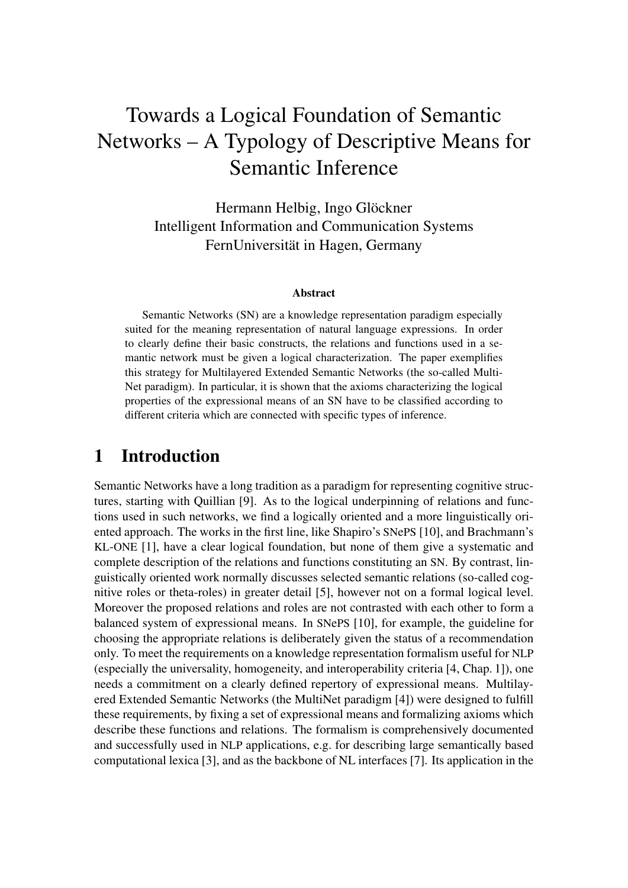# Towards a Logical Foundation of Semantic Networks – A Typology of Descriptive Means for Semantic Inference

Hermann Helbig, Ingo Glöckner Intelligent Information and Communication Systems FernUniversität in Hagen, Germany

#### Abstract

Semantic Networks (SN) are a knowledge representation paradigm especially suited for the meaning representation of natural language expressions. In order to clearly define their basic constructs, the relations and functions used in a semantic network must be given a logical characterization. The paper exemplifies this strategy for Multilayered Extended Semantic Networks (the so-called Multi-Net paradigm). In particular, it is shown that the axioms characterizing the logical properties of the expressional means of an SN have to be classified according to different criteria which are connected with specific types of inference.

## 1 Introduction

Semantic Networks have a long tradition as a paradigm for representing cognitive structures, starting with Quillian [9]. As to the logical underpinning of relations and functions used in such networks, we find a logically oriented and a more linguistically oriented approach. The works in the first line, like Shapiro's SNePS [10], and Brachmann's KL-ONE [1], have a clear logical foundation, but none of them give a systematic and complete description of the relations and functions constituting an SN. By contrast, linguistically oriented work normally discusses selected semantic relations (so-called cognitive roles or theta-roles) in greater detail [5], however not on a formal logical level. Moreover the proposed relations and roles are not contrasted with each other to form a balanced system of expressional means. In SNePS [10], for example, the guideline for choosing the appropriate relations is deliberately given the status of a recommendation only. To meet the requirements on a knowledge representation formalism useful for NLP (especially the universality, homogeneity, and interoperability criteria [4, Chap. 1]), one needs a commitment on a clearly defined repertory of expressional means. Multilayered Extended Semantic Networks (the MultiNet paradigm [4]) were designed to fulfill these requirements, by fixing a set of expressional means and formalizing axioms which describe these functions and relations. The formalism is comprehensively documented and successfully used in NLP applications, e.g. for describing large semantically based computational lexica [3], and as the backbone of NL interfaces [7]. Its application in the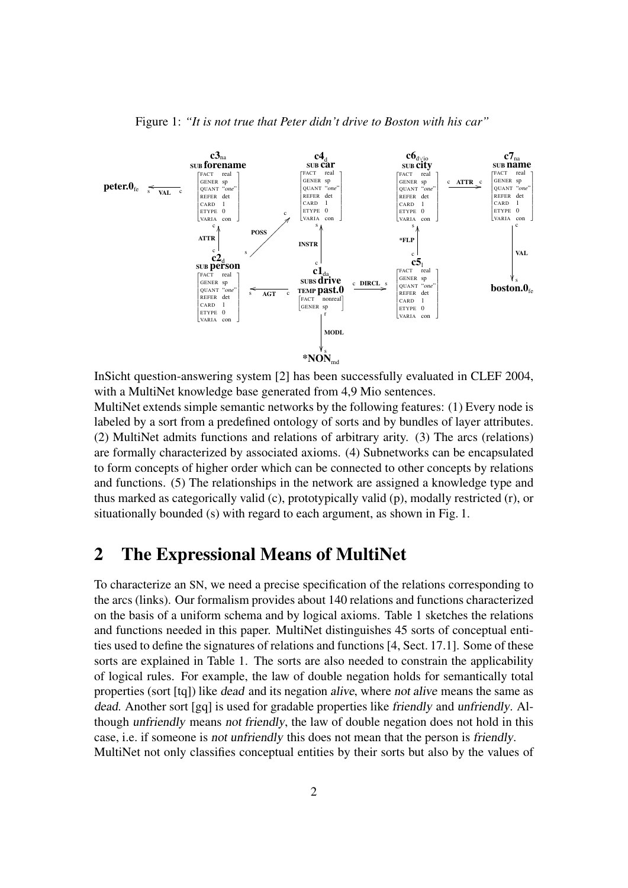

Figure 1: *"It is not true that Peter didn't drive to Boston with his car"*

InSicht question-answering system [2] has been successfully evaluated in CLEF 2004, with a MultiNet knowledge base generated from 4,9 Mio sentences.

MultiNet extends simple semantic networks by the following features: (1) Every node is labeled by a sort from a predefined ontology of sorts and by bundles of layer attributes. (2) MultiNet admits functions and relations of arbitrary arity. (3) The arcs (relations) are formally characterized by associated axioms. (4) Subnetworks can be encapsulated to form concepts of higher order which can be connected to other concepts by relations and functions. (5) The relationships in the network are assigned a knowledge type and thus marked as categorically valid (c), prototypically valid (p), modally restricted (r), or situationally bounded (s) with regard to each argument, as shown in Fig. 1.

## 2 The Expressional Means of MultiNet

To characterize an SN, we need a precise specification of the relations corresponding to the arcs (links). Our formalism provides about 140 relations and functions characterized on the basis of a uniform schema and by logical axioms. Table 1 sketches the relations and functions needed in this paper. MultiNet distinguishes 45 sorts of conceptual entities used to define the signatures of relations and functions [4, Sect. 17.1]. Some of these sorts are explained in Table 1. The sorts are also needed to constrain the applicability of logical rules. For example, the law of double negation holds for semantically total properties (sort [tq]) like dead and its negation alive, where not alive means the same as dead. Another sort [gq] is used for gradable properties like friendly and unfriendly. Although unfriendly means not friendly, the law of double negation does not hold in this case, i.e. if someone is not unfriendly this does not mean that the person is friendly. MultiNet not only classifies conceptual entities by their sorts but also by the values of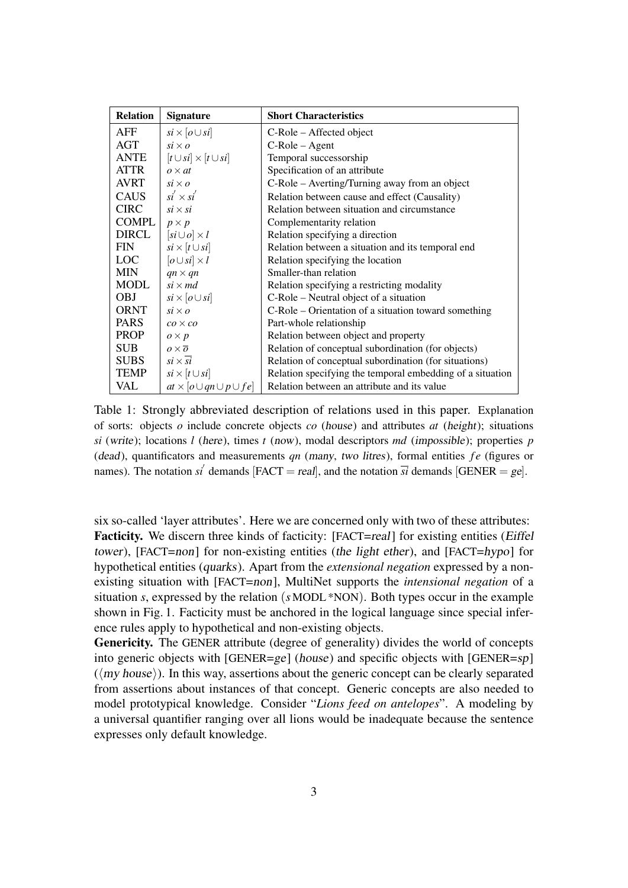| <b>Relation</b> | <b>Signature</b>                       | <b>Short Characteristics</b>                              |
|-----------------|----------------------------------------|-----------------------------------------------------------|
| AFF             | $si \times [o \cup si]$                | C-Role – Affected object                                  |
| AGT             | $si \times o$                          | $C-Role - Agent$                                          |
| <b>ANTE</b>     | $[t \cup si] \times [t \cup si]$       | Temporal successorship                                    |
| <b>ATTR</b>     | $\rho \times \tau t$                   | Specification of an attribute                             |
| <b>AVRT</b>     | $si \times o$                          | C-Role – Averting/Turning away from an object             |
| <b>CAUS</b>     | $si' \times si'$                       | Relation between cause and effect (Causality)             |
| <b>CIRC</b>     | $si \times si$                         | Relation between situation and circumstance               |
| COMPL           | $p \times p$                           | Complementarity relation                                  |
| DIRCL           | $[si\cup o]\times l$                   | Relation specifying a direction                           |
| <b>FIN</b>      | $si \times [t \cup si]$                | Relation between a situation and its temporal end         |
| <b>LOC</b>      | $[o \cup si] \times l$                 | Relation specifying the location                          |
| <b>MIN</b>      | $qn \times qn$                         | Smaller-than relation                                     |
| <b>MODL</b>     | $si \times md$                         | Relation specifying a restricting modality                |
| <b>OBJ</b>      | $si \times [o \cup si]$                | C-Role – Neutral object of a situation                    |
| <b>ORNT</b>     | $si \times o$                          | C-Role – Orientation of a situation toward something      |
| <b>PARS</b>     | $co \times co$                         | Part-whole relationship                                   |
| <b>PROP</b>     | $\rho \times p$                        | Relation between object and property                      |
| <b>SUB</b>      | $\rho \times \overline{\rho}$          | Relation of conceptual subordination (for objects)        |
| <b>SUBS</b>     | $si \times \overline{si}$              | Relation of conceptual subordination (for situations)     |
| <b>TEMP</b>     | $si \times [t \cup si]$                | Relation specifying the temporal embedding of a situation |
| VAL             | $at \times [o \cup qn \cup p \cup fe]$ | Relation between an attribute and its value               |

Table 1: Strongly abbreviated description of relations used in this paper. Explanation of sorts: objects *o* include concrete objects *co* (house) and attributes *at* (height); situations *si* (write); locations *l* (here), times *t* (now), modal descriptors *md* (impossible); properties *p* (dead), quantificators and measurements *qn* (many, two litres), formal entities *fe* (figures or names). The notation *si*<sup> $\prime$ </sup> demands [FACT = *real*], and the notation  $\overline{si}$  demands [GENER = ge].

six so-called 'layer attributes'. Here we are concerned only with two of these attributes: Facticity. We discern three kinds of facticity: [FACT=real] for existing entities (*Eiffel* tower), [FACT=non] for non-existing entities (the light ether), and [FACT=hypo] for hypothetical entities (quarks). Apart from the *extensional negation* expressed by a nonexisting situation with [FACT=non], MultiNet supports the *intensional negation* of a situation *s*, expressed by the relation (*s* MODL \*NON). Both types occur in the example shown in Fig. 1. Facticity must be anchored in the logical language since special inference rules apply to hypothetical and non-existing objects.

Genericity. The GENER attribute (degree of generality) divides the world of concepts into generic objects with [GENER=ge] (house) and specific objects with [GENER=sp]  $(\langle my \text{ house}\rangle)$ . In this way, assertions about the generic concept can be clearly separated from assertions about instances of that concept. Generic concepts are also needed to model prototypical knowledge. Consider "*Lions feed on antelopes*". A modeling by a universal quantifier ranging over all lions would be inadequate because the sentence expresses only default knowledge.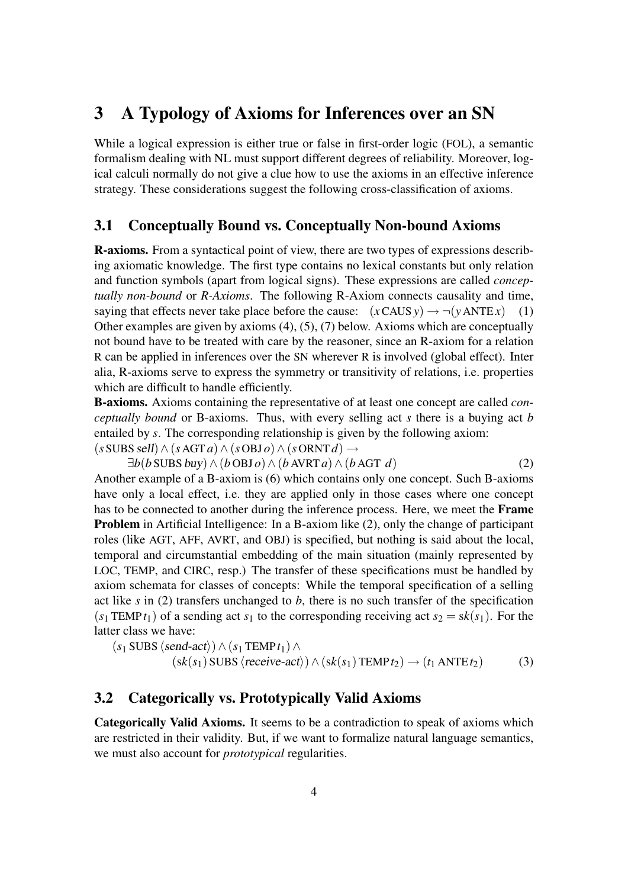## 3 A Typology of Axioms for Inferences over an SN

While a logical expression is either true or false in first-order logic (FOL), a semantic formalism dealing with NL must support different degrees of reliability. Moreover, logical calculi normally do not give a clue how to use the axioms in an effective inference strategy. These considerations suggest the following cross-classification of axioms.

### 3.1 Conceptually Bound vs. Conceptually Non-bound Axioms

R-axioms. From a syntactical point of view, there are two types of expressions describing axiomatic knowledge. The first type contains no lexical constants but only relation and function symbols (apart from logical signs). These expressions are called *conceptually non-bound* or *R-Axioms*. The following R-Axiom connects causality and time, saying that effects never take place before the cause:  $(x \text{CAUS } y) \rightarrow \neg(y \text{ANTE } x)$  (1) Other examples are given by axioms (4), (5), (7) below. Axioms which are conceptually not bound have to be treated with care by the reasoner, since an R-axiom for a relation R can be applied in inferences over the SN wherever R is involved (global effect). Inter alia, R-axioms serve to express the symmetry or transitivity of relations, i.e. properties which are difficult to handle efficiently.

B-axioms. Axioms containing the representative of at least one concept are called *conceptually bound* or B-axioms. Thus, with every selling act *s* there is a buying act *b* entailed by *s*. The corresponding relationship is given by the following axiom:  $(s$  SUBS *sell* $) \land (s$  AGT *a*) $\land (s$  OBJ *o*) $\land (s$  ORNT *d*)  $\rightarrow$ 

 $\exists b(b$  SUBS  $buv$ )  $\land$   $(b$  OBJ  $o)$   $\land$   $(b$  AVRT  $a)$   $\land$   $(b$  AGT  $d)$  (2)

Another example of a B-axiom is (6) which contains only one concept. Such B-axioms have only a local effect, i.e. they are applied only in those cases where one concept has to be connected to another during the inference process. Here, we meet the Frame Problem in Artificial Intelligence: In a B-axiom like (2), only the change of participant roles (like AGT, AFF, AVRT, and OBJ) is specified, but nothing is said about the local, temporal and circumstantial embedding of the main situation (mainly represented by LOC, TEMP, and CIRC, resp.) The transfer of these specifications must be handled by axiom schemata for classes of concepts: While the temporal specification of a selling act like *s* in (2) transfers unchanged to *b*, there is no such transfer of the specification  $(s_1$  TEMP*t*<sub>1</sub>) of a sending act *s*<sub>1</sub> to the corresponding receiving act *s*<sub>2</sub> = s*k*(*s*<sub>1</sub>). For the latter class we have:

 $(s_1$  SUBS  $\langle send\text{-}act \rangle) \wedge (s_1$  TEMP  $t_1) \wedge$  $(sk(s_1)$  SUBS  $\langle receive\text{-}act \rangle) \wedge (sk(s_1)$  TEMP $t_2$ )  $\rightarrow (t_1$  ANTE $t_2)$  (3)

### 3.2 Categorically vs. Prototypically Valid Axioms

Categorically Valid Axioms. It seems to be a contradiction to speak of axioms which are restricted in their validity. But, if we want to formalize natural language semantics, we must also account for *prototypical* regularities.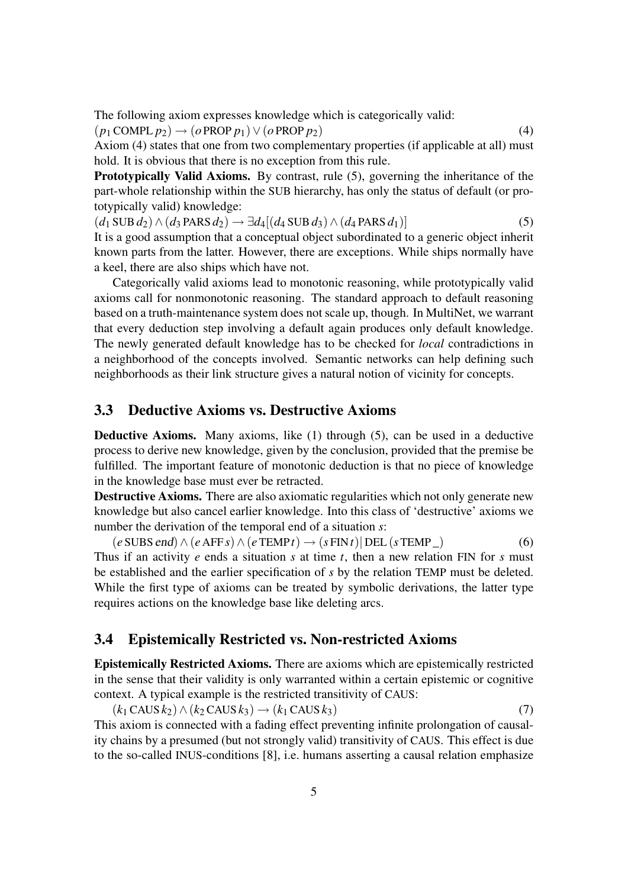The following axiom expresses knowledge which is categorically valid:

 $(p_1 \text{COMPL } p_2) \rightarrow (o \text{PROP } p_1) \vee (o \text{ PROP } p_2)$  (4)

Axiom (4) states that one from two complementary properties (if applicable at all) must hold. It is obvious that there is no exception from this rule.

Prototypically Valid Axioms. By contrast, rule (5), governing the inheritance of the part-whole relationship within the SUB hierarchy, has only the status of default (or prototypically valid) knowledge:

 $(d_1 \text{SUB } d_2) \land (d_3 \text{PARS } d_2) \rightarrow \exists d_4 [(d_4 \text{SUB } d_3) \land (d_4 \text{PARS } d_1)]$  (5) It is a good assumption that a conceptual object subordinated to a generic object inherit known parts from the latter. However, there are exceptions. While ships normally have a keel, there are also ships which have not.

Categorically valid axioms lead to monotonic reasoning, while prototypically valid axioms call for nonmonotonic reasoning. The standard approach to default reasoning based on a truth-maintenance system does not scale up, though. In MultiNet, we warrant that every deduction step involving a default again produces only default knowledge. The newly generated default knowledge has to be checked for *local* contradictions in a neighborhood of the concepts involved. Semantic networks can help defining such neighborhoods as their link structure gives a natural notion of vicinity for concepts.

#### 3.3 Deductive Axioms vs. Destructive Axioms

Deductive Axioms. Many axioms, like (1) through (5), can be used in a deductive process to derive new knowledge, given by the conclusion, provided that the premise be fulfilled. The important feature of monotonic deduction is that no piece of knowledge in the knowledge base must ever be retracted.

Destructive Axioms. There are also axiomatic regularities which not only generate new knowledge but also cancel earlier knowledge. Into this class of 'destructive' axioms we number the derivation of the temporal end of a situation *s*:

 $(e \text{SUBS end}) \land (e \text{ AFF } s) \land (e \text{ TEMP } t) \rightarrow (s \text{ FIN } t) | \text{ DEL } (s \text{ TEMP } \_)$  (6) Thus if an activity *e* ends a situation *s* at time *t*, then a new relation FIN for *s* must be established and the earlier specification of *s* by the relation TEMP must be deleted. While the first type of axioms can be treated by symbolic derivations, the latter type requires actions on the knowledge base like deleting arcs.

#### 3.4 Epistemically Restricted vs. Non-restricted Axioms

Epistemically Restricted Axioms. There are axioms which are epistemically restricted in the sense that their validity is only warranted within a certain epistemic or cognitive context. A typical example is the restricted transitivity of CAUS:

 $(k_1 \text{CAUS } k_2) \wedge (k_2 \text{CAUS } k_3) \rightarrow (k_1 \text{CAUS } k_3)$  (7) This axiom is connected with a fading effect preventing infinite prolongation of causality chains by a presumed (but not strongly valid) transitivity of CAUS. This effect is due to the so-called INUS-conditions [8], i.e. humans asserting a causal relation emphasize